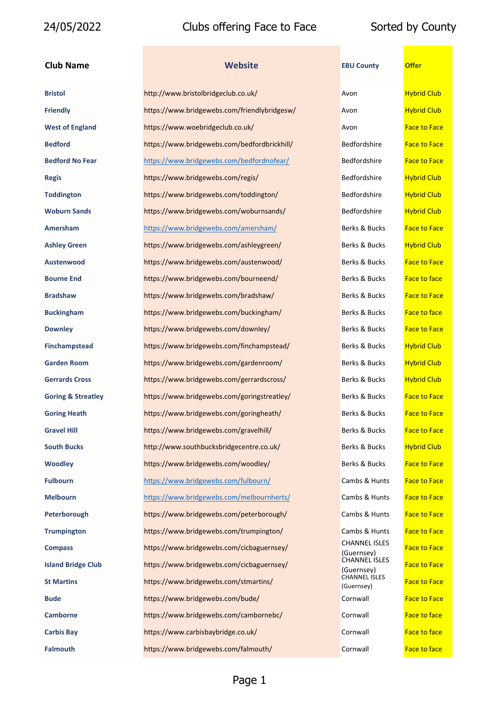### **Club Name EBU COUNTY OF EXAMPLE EDGE COUNTY OF EXAMPLE EDGE COUNTY OF EXAMPLE EDGE COUNTY OF EXAMPLE EDGE COUNTY OF EXAMPLE EDGE COUNTY OF EXAMPLE COUNTY OF EXAMPLE COUNTY OF EXAMPLE COUNTY OF EXAMPLE COUNTY OF EXAMPLE**

| <b>Bristol</b>                | http://www.bristolbridgeclub.co.uk/          | Avon                               | <b>Hybrid Club</b>  |
|-------------------------------|----------------------------------------------|------------------------------------|---------------------|
| <b>Friendly</b>               | https://www.bridgewebs.com/friendlybridgesw/ | Avon                               | <b>Hybrid Club</b>  |
| <b>West of England</b>        | https://www.woebridgeclub.co.uk/             | Avon                               | <b>Face to Face</b> |
| <b>Bedford</b>                | https://www.bridgewebs.com/bedfordbrickhill/ | Bedfordshire                       | <b>Face to Face</b> |
| <b>Bedford No Fear</b>        | https://www.bridgewebs.com/bedfordnofear/    | Bedfordshire                       | <b>Face to Face</b> |
| <b>Regis</b>                  | https://www.bridgewebs.com/regis/            | Bedfordshire                       | <b>Hybrid Club</b>  |
| <b>Toddington</b>             | https://www.bridgewebs.com/toddington/       | Bedfordshire                       | <b>Hybrid Club</b>  |
| <b>Woburn Sands</b>           | https://www.bridgewebs.com/woburnsands/      | Bedfordshire                       | <b>Hybrid Club</b>  |
| Amersham                      | https://www.bridgewebs.com/amersham/         | Berks & Bucks                      | <b>Face to Face</b> |
| <b>Ashley Green</b>           | https://www.bridgewebs.com/ashleygreen/      | Berks & Bucks                      | <b>Hybrid Club</b>  |
| Austenwood                    | https://www.bridgewebs.com/austenwood/       | Berks & Bucks                      | <b>Face to Face</b> |
| <b>Bourne End</b>             | https://www.bridgewebs.com/bourneend/        | Berks & Bucks                      | <b>Face to face</b> |
| <b>Bradshaw</b>               | https://www.bridgewebs.com/bradshaw/         | Berks & Bucks                      | <b>Face to Face</b> |
| <b>Buckingham</b>             | https://www.bridgewebs.com/buckingham/       | Berks & Bucks                      | <b>Face to face</b> |
| <b>Downley</b>                | https://www.bridgewebs.com/downley/          | Berks & Bucks                      | <b>Face to Face</b> |
| <b>Finchampstead</b>          | https://www.bridgewebs.com/finchampstead/    | Berks & Bucks                      | <b>Hybrid Club</b>  |
| <b>Garden Room</b>            | https://www.bridgewebs.com/gardenroom/       | Berks & Bucks                      | <b>Hybrid Club</b>  |
| <b>Gerrards Cross</b>         | https://www.bridgewebs.com/gerrardscross/    | Berks & Bucks                      | <b>Hybrid Club</b>  |
| <b>Goring &amp; Streatley</b> | https://www.bridgewebs.com/goringstreatley/  | Berks & Bucks                      | <b>Face to Face</b> |
| <b>Goring Heath</b>           | https://www.bridgewebs.com/goringheath/      | Berks & Bucks                      | <b>Face to Face</b> |
| <b>Gravel Hill</b>            | https://www.bridgewebs.com/gravelhill/       | Berks & Bucks                      | <b>Face to Face</b> |
| <b>South Bucks</b>            | http://www.southbucksbridgecentre.co.uk/     | Berks & Bucks                      | <b>Hybrid Club</b>  |
| <b>Woodley</b>                | https://www.bridgewebs.com/woodley/          | Berks & Bucks                      | <b>Face to Face</b> |
| <b>Fulbourn</b>               | https://www.bridgewebs.com/fulbourn/         | Cambs & Hunts                      | <b>Face to Face</b> |
| <b>Melbourn</b>               | https://www.bridgewebs.com/melbournherts/    | Cambs & Hunts                      | <b>Face to Face</b> |
| Peterborough                  | https://www.bridgewebs.com/peterborough/     | Cambs & Hunts                      | <b>Face to Face</b> |
| <b>Trumpington</b>            | https://www.bridgewebs.com/trumpington/      | Cambs & Hunts                      | <b>Face to Face</b> |
| <b>Compass</b>                | https://www.bridgewebs.com/cicbaguernsey/    | <b>CHANNEL ISLES</b><br>(Guernsey) | <b>Face to Face</b> |
| <b>Island Bridge Club</b>     | https://www.bridgewebs.com/cicbaguernsey/    | <b>CHANNEL ISLES</b><br>(Guernsey) | <b>Face to Face</b> |
| <b>St Martins</b>             | https://www.bridgewebs.com/stmartins/        | <b>CHANNEL ISLES</b><br>(Guernsey) | <b>Face to Face</b> |
| <b>Bude</b>                   | https://www.bridgewebs.com/bude/             | Cornwall                           | <b>Face to Face</b> |
| <b>Camborne</b>               | https://www.bridgewebs.com/cambornebc/       | Cornwall                           | Face to face        |
| <b>Carbis Bay</b>             | https://www.carbisbaybridge.co.uk/           | Cornwall                           | <b>Face to face</b> |
| <b>Falmouth</b>               | https://www.bridgewebs.com/falmouth/         | Cornwall                           | <b>Face to face</b> |
|                               |                                              |                                    |                     |

| <b>EBU County</b>                  | <b>Offer</b>        |
|------------------------------------|---------------------|
| Avon                               | <b>Hybrid Club</b>  |
| Avon                               | <b>Hybrid Club</b>  |
| Avon                               | <b>Face to Face</b> |
| <b>Bedfordshire</b>                | <b>Face to Face</b> |
| <b>Bedfordshire</b>                | <b>Face to Face</b> |
| Bedfordshire                       | <b>Hybrid Club</b>  |
| Bedfordshire                       | <b>Hybrid Club</b>  |
| Bedfordshire                       | <b>Hybrid Club</b>  |
| Berks & Bucks                      | <b>Face to Face</b> |
| Berks & Bucks                      | <b>Hybrid Club</b>  |
| Berks & Bucks                      | <b>Face to Face</b> |
| Berks & Bucks                      | <b>Face to face</b> |
| Berks & Bucks                      | <b>Face to Face</b> |
| Berks & Bucks                      | Face to face        |
| Berks & Bucks                      | <b>Face to Face</b> |
| Berks & Bucks                      | <b>Hybrid Club</b>  |
| Berks & Bucks                      | <b>Hybrid Club</b>  |
| Berks & Bucks                      | <b>Hybrid Club</b>  |
| <b>Berks &amp; Bucks</b>           | <b>Face to Face</b> |
| Berks & Bucks                      | <b>Face to Face</b> |
| <b>Berks &amp; Bucks</b>           | <b>Face to Face</b> |
| Berks & Bucks                      | <b>Hybrid Club</b>  |
| Berks & Bucks                      | <b>Face to Face</b> |
| Cambs & Hunts                      | <b>Face to Face</b> |
| Cambs & Hunts                      | <b>Face to Face</b> |
| Cambs & Hunts                      | <b>Face to Face</b> |
| Cambs & Hunts                      | <b>Face to Face</b> |
| <b>CHANNEL ISLES</b><br>(Guernsey) | <b>Face to Face</b> |
| <b>CHANNEL ISLES</b>               | <b>Face to Face</b> |
| (Guernsev)<br><b>CHANNEL ISLES</b> | <b>Face to Face</b> |
| (Guernsey)<br>Cornwall             | <b>Face to Face</b> |
| Cornwall                           | <b>Face to face</b> |
| Cornwall                           | <b>Face to face</b> |
| Cornwall                           | <b>Face to face</b> |
|                                    |                     |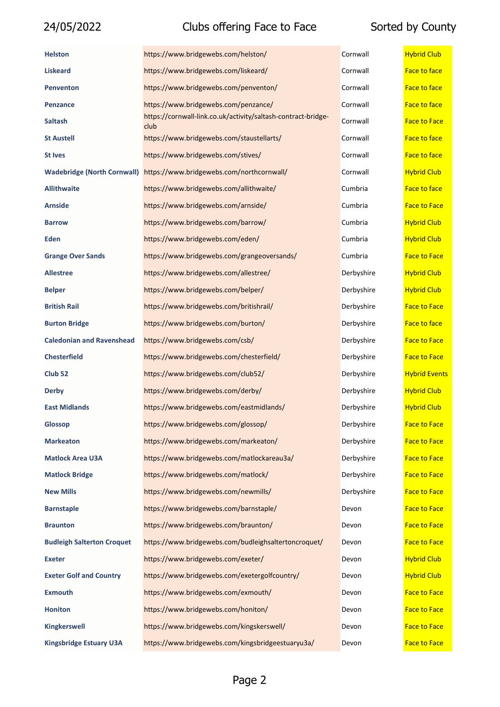| <b>Helston</b>                     | https://www.bridgewebs.com/helston/                                   | Cornwall   | <b>Hybrid Club</b>   |
|------------------------------------|-----------------------------------------------------------------------|------------|----------------------|
| <b>Liskeard</b>                    | https://www.bridgewebs.com/liskeard/                                  | Cornwall   | Face to face         |
| <b>Penventon</b>                   | https://www.bridgewebs.com/penventon/                                 | Cornwall   | <b>Face to face</b>  |
| <b>Penzance</b>                    | https://www.bridgewebs.com/penzance/                                  | Cornwall   | <b>Face to face</b>  |
| <b>Saltash</b>                     | https://cornwall-link.co.uk/activity/saltash-contract-bridge-<br>club | Cornwall   | <b>Face to Face</b>  |
| <b>St Austell</b>                  | https://www.bridgewebs.com/staustellarts/                             | Cornwall   | <b>Face to face</b>  |
| <b>St Ives</b>                     | https://www.bridgewebs.com/stives/                                    | Cornwall   | <b>Face to face</b>  |
| <b>Wadebridge (North Cornwall)</b> | https://www.bridgewebs.com/northcornwall/                             | Cornwall   | <b>Hybrid Club</b>   |
| <b>Allithwaite</b>                 | https://www.bridgewebs.com/allithwaite/                               | Cumbria    | <b>Face to face</b>  |
| <b>Arnside</b>                     | https://www.bridgewebs.com/arnside/                                   | Cumbria    | <b>Face to Face</b>  |
| <b>Barrow</b>                      | https://www.bridgewebs.com/barrow/                                    | Cumbria    | <b>Hybrid Club</b>   |
| Eden                               | https://www.bridgewebs.com/eden/                                      | Cumbria    | <b>Hybrid Club</b>   |
| <b>Grange Over Sands</b>           | https://www.bridgewebs.com/grangeoversands/                           | Cumbria    | <b>Face to Face</b>  |
| <b>Allestree</b>                   | https://www.bridgewebs.com/allestree/                                 | Derbyshire | <b>Hybrid Club</b>   |
| <b>Belper</b>                      | https://www.bridgewebs.com/belper/                                    | Derbyshire | <b>Hybrid Club</b>   |
| <b>British Rail</b>                | https://www.bridgewebs.com/britishrail/                               | Derbyshire | <b>Face to Face</b>  |
| <b>Burton Bridge</b>               | https://www.bridgewebs.com/burton/                                    | Derbyshire | <b>Face to face</b>  |
| <b>Caledonian and Ravenshead</b>   | https://www.bridgewebs.com/csb/                                       | Derbyshire | <b>Face to Face</b>  |
| <b>Chesterfield</b>                | https://www.bridgewebs.com/chesterfield/                              | Derbyshire | <b>Face to Face</b>  |
| Club <sub>52</sub>                 | https://www.bridgewebs.com/club52/                                    | Derbyshire | <b>Hybrid Events</b> |
| <b>Derby</b>                       | https://www.bridgewebs.com/derby/                                     | Derbyshire | <b>Hybrid Club</b>   |
| <b>East Midlands</b>               | https://www.bridgewebs.com/eastmidlands/                              | Derbyshire | <b>Hybrid Club</b>   |
| Glossop                            | https://www.bridgewebs.com/glossop/                                   | Derbyshire | <b>Face to Face</b>  |
| <b>Markeaton</b>                   | https://www.bridgewebs.com/markeaton/                                 | Derbyshire | <b>Face to Face</b>  |
| <b>Matlock Area U3A</b>            | https://www.bridgewebs.com/matlockareau3a/                            | Derbyshire | <b>Face to Face</b>  |
| <b>Matlock Bridge</b>              | https://www.bridgewebs.com/matlock/                                   | Derbyshire | <b>Face to Face</b>  |
| <b>New Mills</b>                   | https://www.bridgewebs.com/newmills/                                  | Derbyshire | <b>Face to Face</b>  |
| <b>Barnstaple</b>                  | https://www.bridgewebs.com/barnstaple/                                | Devon      | <b>Face to Face</b>  |
| <b>Braunton</b>                    | https://www.bridgewebs.com/braunton/                                  | Devon      | <b>Face to Face</b>  |
| <b>Budleigh Salterton Croquet</b>  | https://www.bridgewebs.com/budleighsaltertoncroquet/                  | Devon      | <b>Face to Face</b>  |
| <b>Exeter</b>                      | https://www.bridgewebs.com/exeter/                                    | Devon      | <b>Hybrid Club</b>   |
| <b>Exeter Golf and Country</b>     | https://www.bridgewebs.com/exetergolfcountry/                         | Devon      | <b>Hybrid Club</b>   |
| <b>Exmouth</b>                     | https://www.bridgewebs.com/exmouth/                                   | Devon      | <b>Face to Face</b>  |
| <b>Honiton</b>                     | https://www.bridgewebs.com/honiton/                                   | Devon      | <b>Face to Face</b>  |
| <b>Kingkerswell</b>                | https://www.bridgewebs.com/kingskerswell/                             | Devon      | <b>Face to Face</b>  |
| <b>Kingsbridge Estuary U3A</b>     | https://www.bridgewebs.com/kingsbridgeestuaryu3a/                     | Devon      | <b>Face to Face</b>  |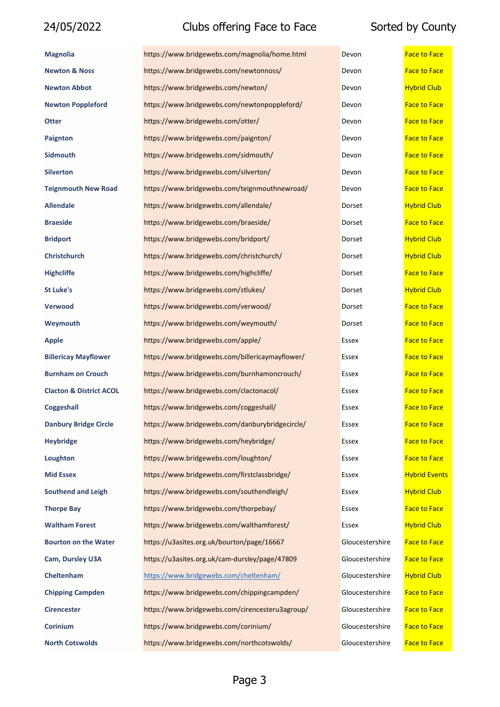| <b>Magnolia</b>                    | https://www.bridgewebs.com/magnolia/home.html   | Devon           | <b>Face to Face</b>  |
|------------------------------------|-------------------------------------------------|-----------------|----------------------|
| <b>Newton &amp; Noss</b>           | https://www.bridgewebs.com/newtonnoss/          | Devon           | <b>Face to Face</b>  |
| <b>Newton Abbot</b>                | https://www.bridgewebs.com/newton/              | Devon           | <b>Hybrid Club</b>   |
| <b>Newton Poppleford</b>           | https://www.bridgewebs.com/newtonpoppleford/    | Devon           | <b>Face to Face</b>  |
| <b>Otter</b>                       | https://www.bridgewebs.com/otter/               | Devon           | <b>Face to Face</b>  |
| <b>Paignton</b>                    | https://www.bridgewebs.com/paignton/            | Devon           | <b>Face to Face</b>  |
| <b>Sidmouth</b>                    | https://www.bridgewebs.com/sidmouth/            | Devon           | <b>Face to Face</b>  |
| <b>Silverton</b>                   | https://www.bridgewebs.com/silverton/           | Devon           | <b>Face to Face</b>  |
| <b>Teignmouth New Road</b>         | https://www.bridgewebs.com/teignmouthnewroad/   | Devon           | <b>Face to Face</b>  |
| <b>Allendale</b>                   | https://www.bridgewebs.com/allendale/           | Dorset          | <b>Hybrid Club</b>   |
| <b>Braeside</b>                    | https://www.bridgewebs.com/braeside/            | Dorset          | <b>Face to Face</b>  |
| <b>Bridport</b>                    | https://www.bridgewebs.com/bridport/            | Dorset          | <b>Hybrid Club</b>   |
| Christchurch                       | https://www.bridgewebs.com/christchurch/        | Dorset          | <b>Hybrid Club</b>   |
| <b>Highcliffe</b>                  | https://www.bridgewebs.com/highcliffe/          | Dorset          | <b>Face to Face</b>  |
| <b>St Luke's</b>                   | https://www.bridgewebs.com/stlukes/             | Dorset          | <b>Hybrid Club</b>   |
| Verwood                            | https://www.bridgewebs.com/verwood/             | Dorset          | <b>Face to Face</b>  |
| Weymouth                           | https://www.bridgewebs.com/weymouth/            | Dorset          | <b>Face to Face</b>  |
| Apple                              | https://www.bridgewebs.com/apple/               | Essex           | <b>Face to Face</b>  |
| <b>Billericay Mayflower</b>        | https://www.bridgewebs.com/billericaymayflower/ | Essex           | <b>Face to Face</b>  |
| <b>Burnham on Crouch</b>           | https://www.bridgewebs.com/burnhamoncrouch/     | Essex           | <b>Face to Face</b>  |
| <b>Clacton &amp; District ACOL</b> | https://www.bridgewebs.com/clactonacol/         | Essex           | <b>Face to Face</b>  |
| Coggeshall                         | https://www.bridgewebs.com/coggeshall/          | Essex           | <b>Face to Face</b>  |
| <b>Danbury Bridge Circle</b>       | https://www.bridgewebs.com/danburybridgecircle/ | Essex           | Face to Face         |
| <b>Heybridge</b>                   | https://www.bridgewebs.com/heybridge/           | Essex           | <b>Face to Face</b>  |
| Loughton                           | https://www.bridgewebs.com/loughton/            | Essex           | <b>Face to Face</b>  |
| <b>Mid Essex</b>                   | https://www.bridgewebs.com/firstclassbridge/    | Essex           | <b>Hybrid Events</b> |
| <b>Southend and Leigh</b>          | https://www.bridgewebs.com/southendleigh/       | Essex           | <b>Hybrid Club</b>   |
| <b>Thorpe Bay</b>                  | https://www.bridgewebs.com/thorpebay/           | Essex           | <b>Face to Face</b>  |
| <b>Waltham Forest</b>              | https://www.bridgewebs.com/walthamforest/       | Essex           | <b>Hybrid Club</b>   |
| <b>Bourton on the Water</b>        | https://u3asites.org.uk/bourton/page/16667      | Gloucestershire | <b>Face to Face</b>  |
| Cam, Dursley U3A                   | https://u3asites.org.uk/cam-dursley/page/47809  | Gloucestershire | <b>Face to Face</b>  |
| <b>Cheltenham</b>                  | https://www.bridgewebs.com/cheltenham/          | Gloucestershire | <b>Hybrid Club</b>   |
| <b>Chipping Campden</b>            | https://www.bridgewebs.com/chippingcampden/     | Gloucestershire | <b>Face to Face</b>  |
| <b>Cirencester</b>                 | https://www.bridgewebs.com/cirencesteru3agroup/ | Gloucestershire | <b>Face to Face</b>  |
| Corinium                           | https://www.bridgewebs.com/corinium/            | Gloucestershire | <b>Face to Face</b>  |
| <b>North Cotswolds</b>             | https://www.bridgewebs.com/northcotswolds/      | Gloucestershire | <b>Face to Face</b>  |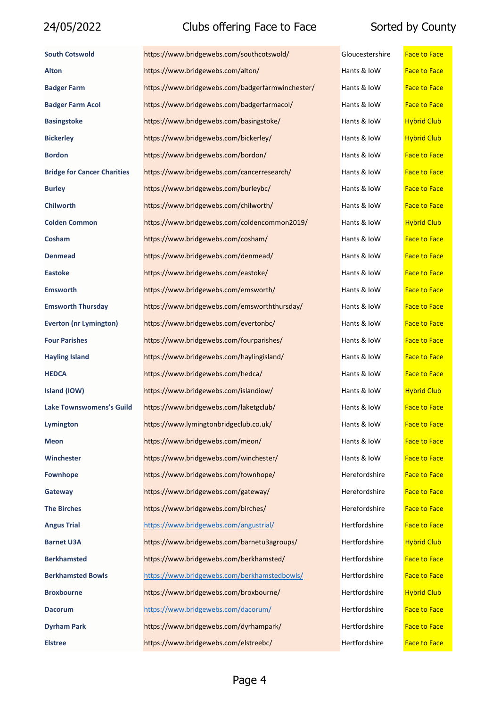| <b>South Cotswold</b>              | https://www.bridgewebs.com/southcotswold/        | Gloucestershire | <b>Face to Face</b> |
|------------------------------------|--------------------------------------------------|-----------------|---------------------|
| <b>Alton</b>                       | https://www.bridgewebs.com/alton/                | Hants & IoW     | <b>Face to Face</b> |
| <b>Badger Farm</b>                 | https://www.bridgewebs.com/badgerfarmwinchester/ | Hants & IoW     | <b>Face to Face</b> |
| <b>Badger Farm Acol</b>            | https://www.bridgewebs.com/badgerfarmacol/       | Hants & IoW     | <b>Face to Face</b> |
| <b>Basingstoke</b>                 | https://www.bridgewebs.com/basingstoke/          | Hants & IoW     | <b>Hybrid Club</b>  |
| <b>Bickerley</b>                   | https://www.bridgewebs.com/bickerley/            | Hants & IoW     | <b>Hybrid Club</b>  |
| <b>Bordon</b>                      | https://www.bridgewebs.com/bordon/               | Hants & IoW     | <b>Face to Face</b> |
| <b>Bridge for Cancer Charities</b> | https://www.bridgewebs.com/cancerresearch/       | Hants & IoW     | <b>Face to Face</b> |
| <b>Burley</b>                      | https://www.bridgewebs.com/burleybc/             | Hants & IoW     | <b>Face to Face</b> |
| <b>Chilworth</b>                   | https://www.bridgewebs.com/chilworth/            | Hants & IoW     | <b>Face to Face</b> |
| <b>Colden Common</b>               | https://www.bridgewebs.com/coldencommon2019/     | Hants & IoW     | <b>Hybrid Club</b>  |
| Cosham                             | https://www.bridgewebs.com/cosham/               | Hants & IoW     | <b>Face to Face</b> |
| <b>Denmead</b>                     | https://www.bridgewebs.com/denmead/              | Hants & IoW     | <b>Face to Face</b> |
| <b>Eastoke</b>                     | https://www.bridgewebs.com/eastoke/              | Hants & IoW     | <b>Face to Face</b> |
| <b>Emsworth</b>                    | https://www.bridgewebs.com/emsworth/             | Hants & IoW     | <b>Face to Face</b> |
| <b>Emsworth Thursday</b>           | https://www.bridgewebs.com/emsworththursday/     | Hants & IoW     | <b>Face to Face</b> |
| <b>Everton (nr Lymington)</b>      | https://www.bridgewebs.com/evertonbc/            | Hants & IoW     | <b>Face to Face</b> |
| <b>Four Parishes</b>               | https://www.bridgewebs.com/fourparishes/         | Hants & IoW     | <b>Face to Face</b> |
| <b>Hayling Island</b>              | https://www.bridgewebs.com/haylingisland/        | Hants & IoW     | <b>Face to Face</b> |
| <b>HEDCA</b>                       | https://www.bridgewebs.com/hedca/                | Hants & IoW     | <b>Face to Face</b> |
| Island (IOW)                       | https://www.bridgewebs.com/islandiow/            | Hants & IoW     | <b>Hybrid Club</b>  |
| <b>Lake Townswomens's Guild</b>    | https://www.bridgewebs.com/laketgclub/           | Hants & IoW     | <b>Face to Face</b> |
| Lymington                          | https://www.lymingtonbridgeclub.co.uk/           | Hants & IoW     | <b>Face to Face</b> |
| <b>Meon</b>                        | https://www.bridgewebs.com/meon/                 | Hants & IoW     | <b>Face to Face</b> |
| Winchester                         | https://www.bridgewebs.com/winchester/           | Hants & IoW     | <b>Face to Face</b> |
| <b>Fownhope</b>                    | https://www.bridgewebs.com/fownhope/             | Herefordshire   | <b>Face to Face</b> |
| Gateway                            | https://www.bridgewebs.com/gateway/              | Herefordshire   | <b>Face to Face</b> |
| <b>The Birches</b>                 | https://www.bridgewebs.com/birches/              | Herefordshire   | <b>Face to Face</b> |
| <b>Angus Trial</b>                 | https://www.bridgewebs.com/angustrial/           | Hertfordshire   | <b>Face to Face</b> |
| <b>Barnet U3A</b>                  | https://www.bridgewebs.com/barnetu3agroups/      | Hertfordshire   | <b>Hybrid Club</b>  |
| <b>Berkhamsted</b>                 | https://www.bridgewebs.com/berkhamsted/          | Hertfordshire   | <b>Face to Face</b> |
| <b>Berkhamsted Bowls</b>           | https://www.bridgewebs.com/berkhamstedbowls/     | Hertfordshire   | <b>Face to Face</b> |
| <b>Broxbourne</b>                  | https://www.bridgewebs.com/broxbourne/           | Hertfordshire   | <b>Hybrid Club</b>  |
| <b>Dacorum</b>                     | https://www.bridgewebs.com/dacorum/              | Hertfordshire   | <b>Face to Face</b> |
| <b>Dyrham Park</b>                 | https://www.bridgewebs.com/dyrhampark/           | Hertfordshire   | <b>Face to Face</b> |
| <b>Elstree</b>                     | https://www.bridgewebs.com/elstreebc/            | Hertfordshire   | <b>Face to Face</b> |

| iloucestershire | <b>Face to Face</b> |
|-----------------|---------------------|
| lants & IoW     | <b>Face to Face</b> |
| lants & IoW     | <b>Face to Face</b> |
| lants & IoW     | <b>Face to Face</b> |
| lants & IoW     | <b>Hybrid Club</b>  |
| lants & IoW     | <b>Hybrid Club</b>  |
| lants & IoW     | <b>Face to Face</b> |
| lants & IoW     | <b>Face to Face</b> |
| lants & IoW     | <b>Face to Face</b> |
| lants & IoW     | <b>Face to Face</b> |
| lants & IoW     | <b>Hybrid Club</b>  |
| lants & IoW     | <b>Face to Face</b> |
| lants & IoW     | <b>Face to Face</b> |
| lants & IoW     | <b>Face to Face</b> |
| lants & IoW     | <b>Face to Face</b> |
| lants & IoW     | <b>Face to Face</b> |
| lants & IoW     | <b>Face to Face</b> |
| lants & IoW     | <b>Face to Face</b> |
| lants & IoW     | <b>Face to Face</b> |
| lants & IoW     | <b>Face to Face</b> |
| lants & IoW     | <b>Hybrid Club</b>  |
| lants & IoW     | <b>Face to Face</b> |
| lants & IoW     | <b>Face to Face</b> |
| lants & IoW     | Face to Face        |
| lants & IoW     | <b>Face to Face</b> |
| lerefordshire   | <b>Face to Face</b> |
| Ierefordshire   | <b>Face to Face</b> |
| lerefordshire   | <b>Face to Face</b> |
| Iertfordshire   | <b>Face to Face</b> |
| Iertfordshire   | <b>Hybrid Club</b>  |
| lertfordshire   | <b>Face to Face</b> |
| Iertfordshire   | <b>Face to Face</b> |
| Iertfordshire   | <b>Hybrid Club</b>  |
| lertfordshire   | <b>Face to Face</b> |
| Iertfordshire   | <b>Face to Face</b> |
| $l$ ortfordchi  |                     |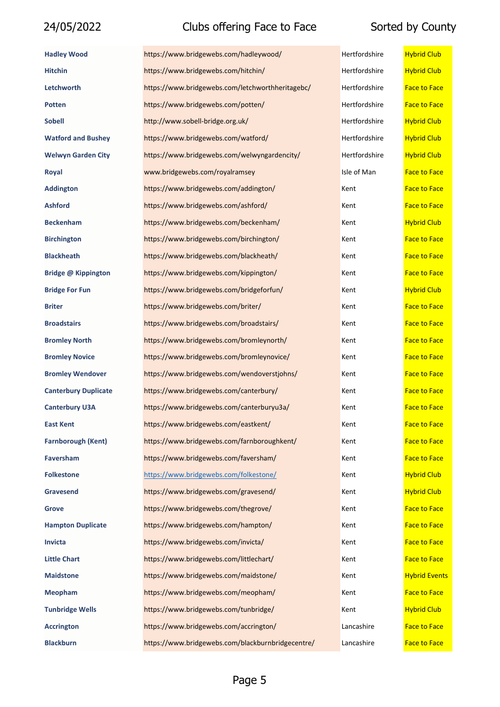### 24/05/2022 Clubs offering Face to Face

| <b>Hadley Wood</b>          | https://www.bridgewebs.com/hadleywood/            | Hertfordshire | <b>Hybrid Club</b>   |
|-----------------------------|---------------------------------------------------|---------------|----------------------|
| <b>Hitchin</b>              | https://www.bridgewebs.com/hitchin/               | Hertfordshire | <b>Hybrid Club</b>   |
| Letchworth                  | https://www.bridgewebs.com/letchworthheritagebc/  | Hertfordshire | <b>Face to Face</b>  |
| <b>Potten</b>               | https://www.bridgewebs.com/potten/                | Hertfordshire | <b>Face to Face</b>  |
| <b>Sobell</b>               | http://www.sobell-bridge.org.uk/                  | Hertfordshire | <b>Hybrid Club</b>   |
| <b>Watford and Bushey</b>   | https://www.bridgewebs.com/watford/               | Hertfordshire | <b>Hybrid Club</b>   |
| <b>Welwyn Garden City</b>   | https://www.bridgewebs.com/welwyngardencity/      | Hertfordshire | <b>Hybrid Club</b>   |
| Royal                       | www.bridgewebs.com/royalramsey                    | Isle of Man   | <b>Face to Face</b>  |
| <b>Addington</b>            | https://www.bridgewebs.com/addington/             | Kent          | <b>Face to Face</b>  |
| <b>Ashford</b>              | https://www.bridgewebs.com/ashford/               | Kent          | <b>Face to Face</b>  |
| <b>Beckenham</b>            | https://www.bridgewebs.com/beckenham/             | Kent          | <b>Hybrid Club</b>   |
| <b>Birchington</b>          | https://www.bridgewebs.com/birchington/           | Kent          | <b>Face to Face</b>  |
| <b>Blackheath</b>           | https://www.bridgewebs.com/blackheath/            | Kent          | <b>Face to Face</b>  |
| <b>Bridge @ Kippington</b>  | https://www.bridgewebs.com/kippington/            | Kent          | <b>Face to Face</b>  |
| <b>Bridge For Fun</b>       | https://www.bridgewebs.com/bridgeforfun/          | Kent          | <b>Hybrid Club</b>   |
| <b>Briter</b>               | https://www.bridgewebs.com/briter/                | Kent          | <b>Face to Face</b>  |
| <b>Broadstairs</b>          | https://www.bridgewebs.com/broadstairs/           | Kent          | <b>Face to Face</b>  |
| <b>Bromley North</b>        | https://www.bridgewebs.com/bromleynorth/          | Kent          | <b>Face to Face</b>  |
| <b>Bromley Novice</b>       | https://www.bridgewebs.com/bromleynovice/         | Kent          | <b>Face to Face</b>  |
| <b>Bromley Wendover</b>     | https://www.bridgewebs.com/wendoverstjohns/       | Kent          | <b>Face to Face</b>  |
| <b>Canterbury Duplicate</b> | https://www.bridgewebs.com/canterbury/            | Kent          | <b>Face to Face</b>  |
| <b>Canterbury U3A</b>       | https://www.bridgewebs.com/canterburyu3a/         | Kent          | <b>Face to Face</b>  |
| <b>East Kent</b>            | https://www.bridgewebs.com/eastkent/              | Kent          | <b>Face to Face</b>  |
| <b>Farnborough (Kent)</b>   | https://www.bridgewebs.com/farnboroughkent/       | Kent          | <b>Face to Face</b>  |
| <b>Faversham</b>            | https://www.bridgewebs.com/faversham/             | Kent          | <b>Face to Face</b>  |
| <b>Folkestone</b>           | https://www.bridgewebs.com/folkestone/            | Kent          | <b>Hybrid Club</b>   |
| <b>Gravesend</b>            | https://www.bridgewebs.com/gravesend/             | Kent          | <b>Hybrid Club</b>   |
| <b>Grove</b>                | https://www.bridgewebs.com/thegrove/              | Kent          | <b>Face to Face</b>  |
| <b>Hampton Duplicate</b>    | https://www.bridgewebs.com/hampton/               | Kent          | <b>Face to Face</b>  |
| <b>Invicta</b>              | https://www.bridgewebs.com/invicta/               | Kent          | <b>Face to Face</b>  |
| <b>Little Chart</b>         | https://www.bridgewebs.com/littlechart/           | Kent          | <b>Face to Face</b>  |
| <b>Maidstone</b>            | https://www.bridgewebs.com/maidstone/             | Kent          | <b>Hybrid Events</b> |
| <b>Meopham</b>              | https://www.bridgewebs.com/meopham/               | Kent          | <b>Face to Face</b>  |
| <b>Tunbridge Wells</b>      | https://www.bridgewebs.com/tunbridge/             | Kent          | <b>Hybrid Club</b>   |
| <b>Accrington</b>           | https://www.bridgewebs.com/accrington/            | Lancashire    | <b>Face to Face</b>  |
| <b>Blackburn</b>            | https://www.bridgewebs.com/blackburnbridgecentre/ | Lancashire    | <b>Face to Face</b>  |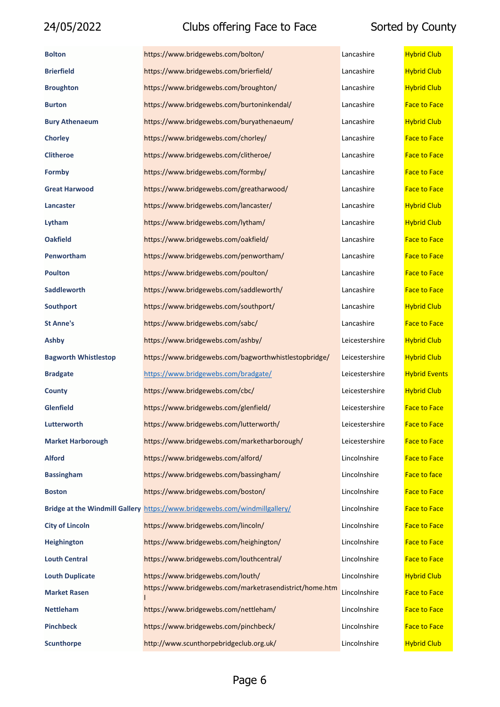| <b>Bolton</b>               | https://www.bridgewebs.com/bolton/                                         | Lancashire     | <b>Hybrid Club</b>   |
|-----------------------------|----------------------------------------------------------------------------|----------------|----------------------|
| <b>Brierfield</b>           | https://www.bridgewebs.com/brierfield/                                     | Lancashire     | <b>Hybrid Club</b>   |
| <b>Broughton</b>            | https://www.bridgewebs.com/broughton/                                      | Lancashire     | <b>Hybrid Club</b>   |
| <b>Burton</b>               | https://www.bridgewebs.com/burtoninkendal/                                 | Lancashire     | <b>Face to Face</b>  |
| <b>Bury Athenaeum</b>       | https://www.bridgewebs.com/buryathenaeum/                                  | Lancashire     | <b>Hybrid Club</b>   |
| <b>Chorley</b>              | https://www.bridgewebs.com/chorley/                                        | Lancashire     | <b>Face to Face</b>  |
| <b>Clitheroe</b>            | https://www.bridgewebs.com/clitheroe/                                      | Lancashire     | <b>Face to Face</b>  |
| Formby                      | https://www.bridgewebs.com/formby/                                         | Lancashire     | <b>Face to Face</b>  |
| <b>Great Harwood</b>        | https://www.bridgewebs.com/greatharwood/                                   | Lancashire     | <b>Face to Face</b>  |
| Lancaster                   | https://www.bridgewebs.com/lancaster/                                      | Lancashire     | <b>Hybrid Club</b>   |
| Lytham                      | https://www.bridgewebs.com/lytham/                                         | Lancashire     | <b>Hybrid Club</b>   |
| <b>Oakfield</b>             | https://www.bridgewebs.com/oakfield/                                       | Lancashire     | <b>Face to Face</b>  |
| Penwortham                  | https://www.bridgewebs.com/penwortham/                                     | Lancashire     | <b>Face to Face</b>  |
| <b>Poulton</b>              | https://www.bridgewebs.com/poulton/                                        | Lancashire     | <b>Face to Face</b>  |
| <b>Saddleworth</b>          | https://www.bridgewebs.com/saddleworth/                                    | Lancashire     | <b>Face to Face</b>  |
| <b>Southport</b>            | https://www.bridgewebs.com/southport/                                      | Lancashire     | <b>Hybrid Club</b>   |
| <b>St Anne's</b>            | https://www.bridgewebs.com/sabc/                                           | Lancashire     | <b>Face to Face</b>  |
| Ashby                       | https://www.bridgewebs.com/ashby/                                          | Leicestershire | <b>Hybrid Club</b>   |
| <b>Bagworth Whistlestop</b> | https://www.bridgewebs.com/bagworthwhistlestopbridge/                      | Leicestershire | <b>Hybrid Club</b>   |
| <b>Bradgate</b>             | https://www.bridgewebs.com/bradgate/                                       | Leicestershire | <b>Hybrid Events</b> |
| <b>County</b>               | https://www.bridgewebs.com/cbc/                                            | Leicestershire | <b>Hybrid Club</b>   |
| <b>Glenfield</b>            | https://www.bridgewebs.com/glenfield/                                      | Leicestershire | <b>Face to Face</b>  |
| Lutterworth                 | https://www.bridgewebs.com/lutterworth/                                    | Leicestershire | <b>Face to Face</b>  |
| <b>Market Harborough</b>    | https://www.bridgewebs.com/marketharborough/                               | Leicestershire | <b>Face to Face</b>  |
| <b>Alford</b>               | https://www.bridgewebs.com/alford/                                         | Lincolnshire   | <b>Face to Face</b>  |
| <b>Bassingham</b>           | https://www.bridgewebs.com/bassingham/                                     | Lincolnshire   | Face to face         |
| <b>Boston</b>               | https://www.bridgewebs.com/boston/                                         | Lincolnshire   | <b>Face to Face</b>  |
|                             | Bridge at the Windmill Gallery https://www.bridgewebs.com/windmillgallery/ | Lincolnshire   | <b>Face to Face</b>  |
| <b>City of Lincoln</b>      | https://www.bridgewebs.com/lincoln/                                        | Lincolnshire   | <b>Face to Face</b>  |
| <b>Heighington</b>          | https://www.bridgewebs.com/heighington/                                    | Lincolnshire   | <b>Face to Face</b>  |
| <b>Louth Central</b>        | https://www.bridgewebs.com/louthcentral/                                   | Lincolnshire   | <b>Face to Face</b>  |
| <b>Louth Duplicate</b>      | https://www.bridgewebs.com/louth/                                          | Lincolnshire   | <b>Hybrid Club</b>   |
| <b>Market Rasen</b>         | https://www.bridgewebs.com/marketrasendistrict/home.htm                    | Lincolnshire   | <b>Face to Face</b>  |
| <b>Nettleham</b>            | https://www.bridgewebs.com/nettleham/                                      | Lincolnshire   | <b>Face to Face</b>  |
| <b>Pinchbeck</b>            | https://www.bridgewebs.com/pinchbeck/                                      | Lincolnshire   | <b>Face to Face</b>  |
| <b>Scunthorpe</b>           | http://www.scunthorpebridgeclub.org.uk/                                    | Lincolnshire   | <b>Hybrid Club</b>   |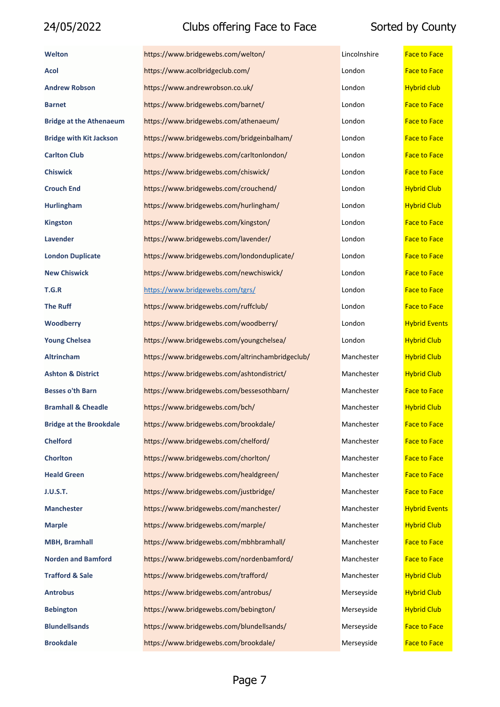| <b>Welton</b>                  | https://www.bridgewebs.com/welton/               | Lincolnshire | <b>Face to Face</b>  |
|--------------------------------|--------------------------------------------------|--------------|----------------------|
| Acol                           | https://www.acolbridgeclub.com/                  | London       | <b>Face to Face</b>  |
| <b>Andrew Robson</b>           | https://www.andrewrobson.co.uk/                  | London       | <b>Hybrid club</b>   |
| <b>Barnet</b>                  | https://www.bridgewebs.com/barnet/               | London       | <b>Face to Face</b>  |
| <b>Bridge at the Athenaeum</b> | https://www.bridgewebs.com/athenaeum/            | London       | <b>Face to Face</b>  |
| <b>Bridge with Kit Jackson</b> | https://www.bridgewebs.com/bridgeinbalham/       | London       | <b>Face to Face</b>  |
| <b>Carlton Club</b>            | https://www.bridgewebs.com/carltonlondon/        | London       | <b>Face to Face</b>  |
| <b>Chiswick</b>                | https://www.bridgewebs.com/chiswick/             | London       | <b>Face to Face</b>  |
| <b>Crouch End</b>              | https://www.bridgewebs.com/crouchend/            | London       | <b>Hybrid Club</b>   |
| <b>Hurlingham</b>              | https://www.bridgewebs.com/hurlingham/           | London       | <b>Hybrid Club</b>   |
| <b>Kingston</b>                | https://www.bridgewebs.com/kingston/             | London       | <b>Face to Face</b>  |
| Lavender                       | https://www.bridgewebs.com/lavender/             | London       | <b>Face to Face</b>  |
| <b>London Duplicate</b>        | https://www.bridgewebs.com/londonduplicate/      | London       | <b>Face to Face</b>  |
| <b>New Chiswick</b>            | https://www.bridgewebs.com/newchiswick/          | London       | <b>Face to Face</b>  |
| T.G.R                          | https://www.bridgewebs.com/tgrs/                 | London       | <b>Face to Face</b>  |
| <b>The Ruff</b>                | https://www.bridgewebs.com/ruffclub/             | London       | <b>Face to Face</b>  |
| <b>Woodberry</b>               | https://www.bridgewebs.com/woodberry/            | London       | <b>Hybrid Events</b> |
| <b>Young Chelsea</b>           | https://www.bridgewebs.com/youngchelsea/         | London       | <b>Hybrid Club</b>   |
| <b>Altrincham</b>              | https://www.bridgewebs.com/altrinchambridgeclub/ | Manchester   | <b>Hybrid Club</b>   |
| <b>Ashton &amp; District</b>   | https://www.bridgewebs.com/ashtondistrict/       | Manchester   | <b>Hybrid Club</b>   |
| <b>Besses o'th Barn</b>        | https://www.bridgewebs.com/bessesothbarn/        | Manchester   | <b>Face to Face</b>  |
| <b>Bramhall &amp; Cheadle</b>  | https://www.bridgewebs.com/bch/                  | Manchester   | <b>Hybrid Club</b>   |
| <b>Bridge at the Brookdale</b> | https://www.bridgewebs.com/brookdale/            | Manchester   | <b>Face to Face</b>  |
| <b>Chelford</b>                | https://www.bridgewebs.com/chelford/             | Manchester   | <b>Face to Face</b>  |
| <b>Chorlton</b>                | https://www.bridgewebs.com/chorlton/             | Manchester   | <b>Face to Face</b>  |
| <b>Heald Green</b>             | https://www.bridgewebs.com/healdgreen/           | Manchester   | <b>Face to Face</b>  |
| <b>J.U.S.T.</b>                | https://www.bridgewebs.com/justbridge/           | Manchester   | <b>Face to Face</b>  |
| <b>Manchester</b>              | https://www.bridgewebs.com/manchester/           | Manchester   | <b>Hybrid Events</b> |
| <b>Marple</b>                  | https://www.bridgewebs.com/marple/               | Manchester   | <b>Hybrid Club</b>   |
| <b>MBH, Bramhall</b>           | https://www.bridgewebs.com/mbhbramhall/          | Manchester   | <b>Face to Face</b>  |
| <b>Norden and Bamford</b>      | https://www.bridgewebs.com/nordenbamford/        | Manchester   | <b>Face to Face</b>  |
| <b>Trafford &amp; Sale</b>     | https://www.bridgewebs.com/trafford/             | Manchester   | <b>Hybrid Club</b>   |
| <b>Antrobus</b>                | https://www.bridgewebs.com/antrobus/             | Merseyside   | <b>Hybrid Club</b>   |
| <b>Bebington</b>               | https://www.bridgewebs.com/bebington/            | Merseyside   | <b>Hybrid Club</b>   |
| <b>Blundellsands</b>           | https://www.bridgewebs.com/blundellsands/        | Merseyside   | <b>Face to Face</b>  |
| <b>Brookdale</b>               | https://www.bridgewebs.com/brookdale/            | Merseyside   | <b>Face to Face</b>  |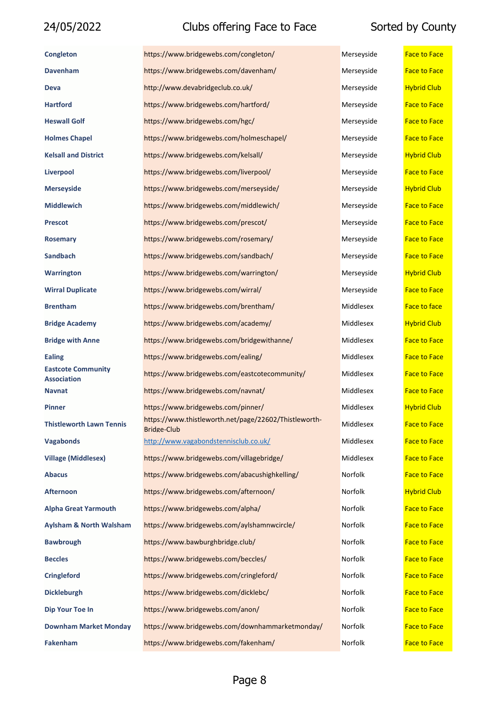| <b>Congleton</b>                                | https://www.bridgewebs.com/congleton/                                       | Merseyside | <b>Face to Face</b> |
|-------------------------------------------------|-----------------------------------------------------------------------------|------------|---------------------|
| <b>Davenham</b>                                 | https://www.bridgewebs.com/davenham/                                        | Merseyside | <b>Face to Face</b> |
| Deva                                            | http://www.devabridgeclub.co.uk/                                            | Merseyside | <b>Hybrid Club</b>  |
| <b>Hartford</b>                                 | https://www.bridgewebs.com/hartford/                                        | Merseyside | <b>Face to Face</b> |
| <b>Heswall Golf</b>                             | https://www.bridgewebs.com/hgc/                                             | Merseyside | <b>Face to Face</b> |
| <b>Holmes Chapel</b>                            | https://www.bridgewebs.com/holmeschapel/                                    | Merseyside | <b>Face to Face</b> |
| <b>Kelsall and District</b>                     | https://www.bridgewebs.com/kelsall/                                         | Merseyside | <b>Hybrid Club</b>  |
| <b>Liverpool</b>                                | https://www.bridgewebs.com/liverpool/                                       | Merseyside | <b>Face to Face</b> |
| <b>Merseyside</b>                               | https://www.bridgewebs.com/merseyside/                                      | Merseyside | <b>Hybrid Club</b>  |
| <b>Middlewich</b>                               | https://www.bridgewebs.com/middlewich/                                      | Merseyside | <b>Face to Face</b> |
| <b>Prescot</b>                                  | https://www.bridgewebs.com/prescot/                                         | Merseyside | <b>Face to Face</b> |
| <b>Rosemary</b>                                 | https://www.bridgewebs.com/rosemary/                                        | Merseyside | <b>Face to Face</b> |
| <b>Sandbach</b>                                 | https://www.bridgewebs.com/sandbach/                                        | Merseyside | <b>Face to Face</b> |
| <b>Warrington</b>                               | https://www.bridgewebs.com/warrington/                                      | Merseyside | <b>Hybrid Club</b>  |
| <b>Wirral Duplicate</b>                         | https://www.bridgewebs.com/wirral/                                          | Merseyside | <b>Face to Face</b> |
| <b>Brentham</b>                                 | https://www.bridgewebs.com/brentham/                                        | Middlesex  | <b>Face to face</b> |
| <b>Bridge Academy</b>                           | https://www.bridgewebs.com/academy/                                         | Middlesex  | <b>Hybrid Club</b>  |
| <b>Bridge with Anne</b>                         | https://www.bridgewebs.com/bridgewithanne/                                  | Middlesex  | <b>Face to Face</b> |
| <b>Ealing</b>                                   | https://www.bridgewebs.com/ealing/                                          | Middlesex  | <b>Face to Face</b> |
| <b>Eastcote Community</b><br><b>Association</b> | https://www.bridgewebs.com/eastcotecommunity/                               | Middlesex  | <b>Face to Face</b> |
| <b>Navnat</b>                                   | https://www.bridgewebs.com/navnat/                                          | Middlesex  | <b>Face to Face</b> |
| <b>Pinner</b>                                   | https://www.bridgewebs.com/pinner/                                          | Middlesex  | <b>Hybrid Club</b>  |
| Thistleworth Lawn Tennis                        | https://www.thistleworth.net/page/22602/Thistleworth-<br><b>Bridge-Club</b> | Middlesex  | <b>Face to Face</b> |
| <b>Vagabonds</b>                                | http://www.vagabondstennisclub.co.uk/                                       | Middlesex  | <b>Face to Face</b> |
| <b>Village (Middlesex)</b>                      | https://www.bridgewebs.com/villagebridge/                                   | Middlesex  | <b>Face to Face</b> |
| <b>Abacus</b>                                   | https://www.bridgewebs.com/abacushighkelling/                               | Norfolk    | <b>Face to Face</b> |
| <b>Afternoon</b>                                | https://www.bridgewebs.com/afternoon/                                       | Norfolk    | <b>Hybrid Club</b>  |
| <b>Alpha Great Yarmouth</b>                     | https://www.bridgewebs.com/alpha/                                           | Norfolk    | <b>Face to Face</b> |
| <b>Aylsham &amp; North Walsham</b>              | https://www.bridgewebs.com/aylshamnwcircle/                                 | Norfolk    | <b>Face to Face</b> |
| <b>Bawbrough</b>                                | https://www.bawburghbridge.club/                                            | Norfolk    | <b>Face to Face</b> |
| <b>Beccles</b>                                  | https://www.bridgewebs.com/beccles/                                         | Norfolk    | <b>Face to Face</b> |
| <b>Cringleford</b>                              | https://www.bridgewebs.com/cringleford/                                     | Norfolk    | <b>Face to Face</b> |
| <b>Dickleburgh</b>                              | https://www.bridgewebs.com/dicklebc/                                        | Norfolk    | <b>Face to Face</b> |
| Dip Your Toe In                                 | https://www.bridgewebs.com/anon/                                            | Norfolk    | <b>Face to Face</b> |
| <b>Downham Market Monday</b>                    | https://www.bridgewebs.com/downhammarketmonday/                             | Norfolk    | <b>Face to Face</b> |
| <b>Fakenham</b>                                 | https://www.bridgewebs.com/fakenham/                                        | Norfolk    | <b>Face to Face</b> |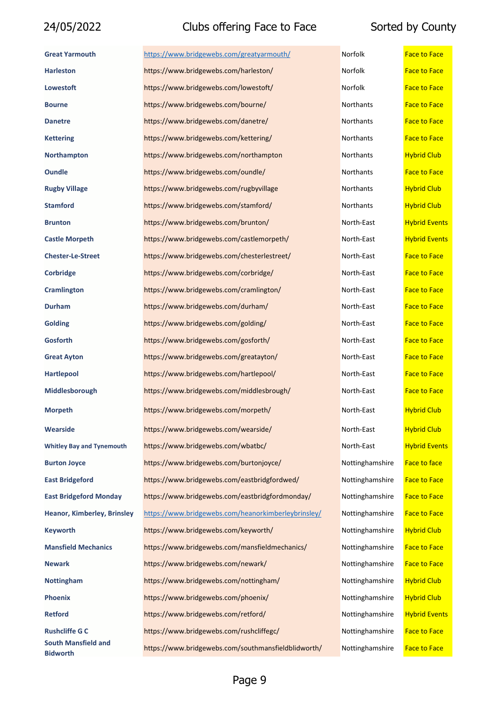| <b>Great Yarmouth</b>                         | https://www.bridgewebs.com/greatyarmouth/           | Norfolk         | <b>Face to Face</b>  |
|-----------------------------------------------|-----------------------------------------------------|-----------------|----------------------|
| <b>Harleston</b>                              | https://www.bridgewebs.com/harleston/               | Norfolk         | <b>Face to Face</b>  |
| <b>Lowestoft</b>                              | https://www.bridgewebs.com/lowestoft/               | Norfolk         | <b>Face to Face</b>  |
| <b>Bourne</b>                                 | https://www.bridgewebs.com/bourne/                  | Northants       | <b>Face to Face</b>  |
| <b>Danetre</b>                                | https://www.bridgewebs.com/danetre/                 | Northants       | <b>Face to Face</b>  |
| <b>Kettering</b>                              | https://www.bridgewebs.com/kettering/               | Northants       | <b>Face to Face</b>  |
| <b>Northampton</b>                            | https://www.bridgewebs.com/northampton              | Northants       | <b>Hybrid Club</b>   |
| <b>Oundle</b>                                 | https://www.bridgewebs.com/oundle/                  | Northants       | <b>Face to Face</b>  |
| <b>Rugby Village</b>                          | https://www.bridgewebs.com/rugbyvillage             | Northants       | <b>Hybrid Club</b>   |
| <b>Stamford</b>                               | https://www.bridgewebs.com/stamford/                | Northants       | <b>Hybrid Club</b>   |
| <b>Brunton</b>                                | https://www.bridgewebs.com/brunton/                 | North-East      | <b>Hybrid Events</b> |
| <b>Castle Morpeth</b>                         | https://www.bridgewebs.com/castlemorpeth/           | North-East      | <b>Hybrid Events</b> |
| <b>Chester-Le-Street</b>                      | https://www.bridgewebs.com/chesterlestreet/         | North-East      | <b>Face to Face</b>  |
| Corbridge                                     | https://www.bridgewebs.com/corbridge/               | North-East      | <b>Face to Face</b>  |
| <b>Cramlington</b>                            | https://www.bridgewebs.com/cramlington/             | North-East      | <b>Face to Face</b>  |
| <b>Durham</b>                                 | https://www.bridgewebs.com/durham/                  | North-East      | <b>Face to Face</b>  |
| <b>Golding</b>                                | https://www.bridgewebs.com/golding/                 | North-East      | <b>Face to Face</b>  |
| <b>Gosforth</b>                               | https://www.bridgewebs.com/gosforth/                | North-East      | <b>Face to Face</b>  |
| <b>Great Ayton</b>                            | https://www.bridgewebs.com/greatayton/              | North-East      | <b>Face to Face</b>  |
| <b>Hartlepool</b>                             | https://www.bridgewebs.com/hartlepool/              | North-East      | <b>Face to Face</b>  |
| Middlesborough                                | https://www.bridgewebs.com/middlesbrough/           | North-East      | <b>Face to Face</b>  |
| <b>Morpeth</b>                                | https://www.bridgewebs.com/morpeth/                 | North-East      | <b>Hybrid Club</b>   |
| Wearside                                      | https://www.bridgewebs.com/wearside/                | North-East      | <b>Hybrid Club</b>   |
| <b>Whitley Bay and Tynemouth</b>              | https://www.bridgewebs.com/wbatbc/                  | North-East      | <b>Hybrid Events</b> |
| <b>Burton Joyce</b>                           | https://www.bridgewebs.com/burtonjoyce/             | Nottinghamshire | Face to face         |
| <b>East Bridgeford</b>                        | https://www.bridgewebs.com/eastbridgfordwed/        | Nottinghamshire | <b>Face to Face</b>  |
| <b>East Bridgeford Monday</b>                 | https://www.bridgewebs.com/eastbridgfordmonday/     | Nottinghamshire | <b>Face to Face</b>  |
| <b>Heanor, Kimberley, Brinsley</b>            | https://www.bridgewebs.com/heanorkimberleybrinsley/ | Nottinghamshire | <b>Face to Face</b>  |
| <b>Keyworth</b>                               | https://www.bridgewebs.com/keyworth/                | Nottinghamshire | <b>Hybrid Club</b>   |
| <b>Mansfield Mechanics</b>                    | https://www.bridgewebs.com/mansfieldmechanics/      | Nottinghamshire | <b>Face to Face</b>  |
| <b>Newark</b>                                 | https://www.bridgewebs.com/newark/                  | Nottinghamshire | <b>Face to Face</b>  |
| <b>Nottingham</b>                             | https://www.bridgewebs.com/nottingham/              | Nottinghamshire | <b>Hybrid Club</b>   |
| <b>Phoenix</b>                                | https://www.bridgewebs.com/phoenix/                 | Nottinghamshire | <b>Hybrid Club</b>   |
| Retford                                       | https://www.bridgewebs.com/retford/                 | Nottinghamshire | <b>Hybrid Events</b> |
| <b>Rushcliffe G C</b>                         | https://www.bridgewebs.com/rushcliffegc/            | Nottinghamshire | <b>Face to Face</b>  |
| <b>South Mansfield and</b><br><b>Bidworth</b> | https://www.bridgewebs.com/southmansfieldblidworth/ | Nottinghamshire | <b>Face to Face</b>  |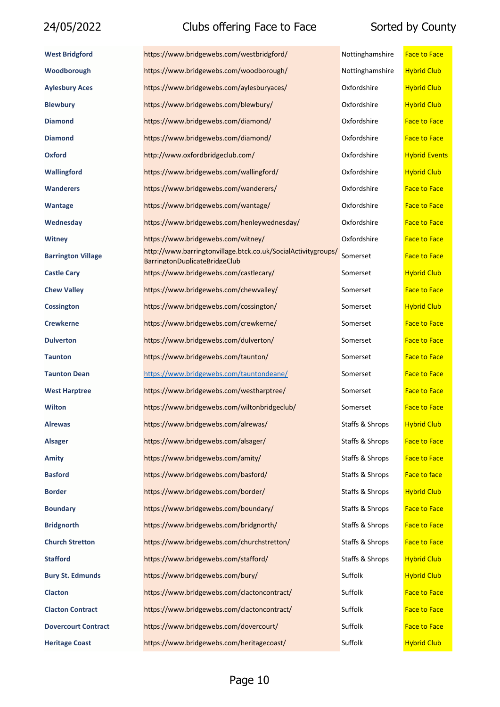| <b>West Bridgford</b>      | https://www.bridgewebs.com/westbridgford/                                                             | Nottinghamshire | <b>Face to Face</b>  |
|----------------------------|-------------------------------------------------------------------------------------------------------|-----------------|----------------------|
| Woodborough                | https://www.bridgewebs.com/woodborough/                                                               | Nottinghamshire | <b>Hybrid Club</b>   |
| <b>Aylesbury Aces</b>      | https://www.bridgewebs.com/aylesburyaces/                                                             | Oxfordshire     | <b>Hybrid Club</b>   |
| <b>Blewbury</b>            | https://www.bridgewebs.com/blewbury/                                                                  | Oxfordshire     | <b>Hybrid Club</b>   |
| <b>Diamond</b>             | https://www.bridgewebs.com/diamond/                                                                   | Oxfordshire     | <b>Face to Face</b>  |
| <b>Diamond</b>             | https://www.bridgewebs.com/diamond/                                                                   | Oxfordshire     | <b>Face to Face</b>  |
| <b>Oxford</b>              | http://www.oxfordbridgeclub.com/                                                                      | Oxfordshire     | <b>Hybrid Events</b> |
| Wallingford                | https://www.bridgewebs.com/wallingford/                                                               | Oxfordshire     | <b>Hybrid Club</b>   |
| <b>Wanderers</b>           | https://www.bridgewebs.com/wanderers/                                                                 | Oxfordshire     | <b>Face to Face</b>  |
| <b>Wantage</b>             | https://www.bridgewebs.com/wantage/                                                                   | Oxfordshire     | <b>Face to Face</b>  |
| Wednesday                  | https://www.bridgewebs.com/henleywednesday/                                                           | Oxfordshire     | <b>Face to Face</b>  |
| <b>Witney</b>              | https://www.bridgewebs.com/witney/                                                                    | Oxfordshire     | <b>Face to Face</b>  |
| <b>Barrington Village</b>  | http://www.barringtonvillage.btck.co.uk/SocialActivitygroups/<br><b>BarringtonDuplicateBridgeClub</b> | Somerset        | <b>Face to Face</b>  |
| <b>Castle Cary</b>         | https://www.bridgewebs.com/castlecary/                                                                | Somerset        | <b>Hybrid Club</b>   |
| <b>Chew Valley</b>         | https://www.bridgewebs.com/chewvalley/                                                                | Somerset        | <b>Face to Face</b>  |
| <b>Cossington</b>          | https://www.bridgewebs.com/cossington/                                                                | Somerset        | <b>Hybrid Club</b>   |
| <b>Crewkerne</b>           | https://www.bridgewebs.com/crewkerne/                                                                 | Somerset        | <b>Face to Face</b>  |
| <b>Dulverton</b>           | https://www.bridgewebs.com/dulverton/                                                                 | Somerset        | <b>Face to Face</b>  |
| <b>Taunton</b>             | https://www.bridgewebs.com/taunton/                                                                   | Somerset        | <b>Face to Face</b>  |
| <b>Taunton Dean</b>        | https://www.bridgewebs.com/tauntondeane/                                                              | Somerset        | <b>Face to Face</b>  |
| <b>West Harptree</b>       | https://www.bridgewebs.com/westharptree/                                                              | Somerset        | <b>Face to Face</b>  |
| Wilton                     | https://www.bridgewebs.com/wiltonbridgeclub/                                                          | Somerset        | <b>Face to Face</b>  |
| <b>Alrewas</b>             | https://www.bridgewebs.com/alrewas/                                                                   | Staffs & Shrops | <b>Hybrid Club</b>   |
| <b>Alsager</b>             | https://www.bridgewebs.com/alsager/                                                                   | Staffs & Shrops | <b>Face to Face</b>  |
| <b>Amity</b>               | https://www.bridgewebs.com/amity/                                                                     | Staffs & Shrops | <b>Face to Face</b>  |
| <b>Basford</b>             | https://www.bridgewebs.com/basford/                                                                   | Staffs & Shrops | Face to face         |
| <b>Border</b>              | https://www.bridgewebs.com/border/                                                                    | Staffs & Shrops | <b>Hybrid Club</b>   |
| <b>Boundary</b>            | https://www.bridgewebs.com/boundary/                                                                  | Staffs & Shrops | <b>Face to Face</b>  |
| <b>Bridgnorth</b>          | https://www.bridgewebs.com/bridgnorth/                                                                | Staffs & Shrops | <b>Face to Face</b>  |
| <b>Church Stretton</b>     | https://www.bridgewebs.com/churchstretton/                                                            | Staffs & Shrops | <b>Face to Face</b>  |
| <b>Stafford</b>            | https://www.bridgewebs.com/stafford/                                                                  | Staffs & Shrops | <b>Hybrid Club</b>   |
| <b>Bury St. Edmunds</b>    | https://www.bridgewebs.com/bury/                                                                      | Suffolk         | <b>Hybrid Club</b>   |
| <b>Clacton</b>             | https://www.bridgewebs.com/clactoncontract/                                                           | Suffolk         | <b>Face to Face</b>  |
| <b>Clacton Contract</b>    | https://www.bridgewebs.com/clactoncontract/                                                           | Suffolk         | <b>Face to Face</b>  |
| <b>Dovercourt Contract</b> | https://www.bridgewebs.com/dovercourt/                                                                | Suffolk         | <b>Face to Face</b>  |
| <b>Heritage Coast</b>      | https://www.bridgewebs.com/heritagecoast/                                                             | Suffolk         | <b>Hybrid Club</b>   |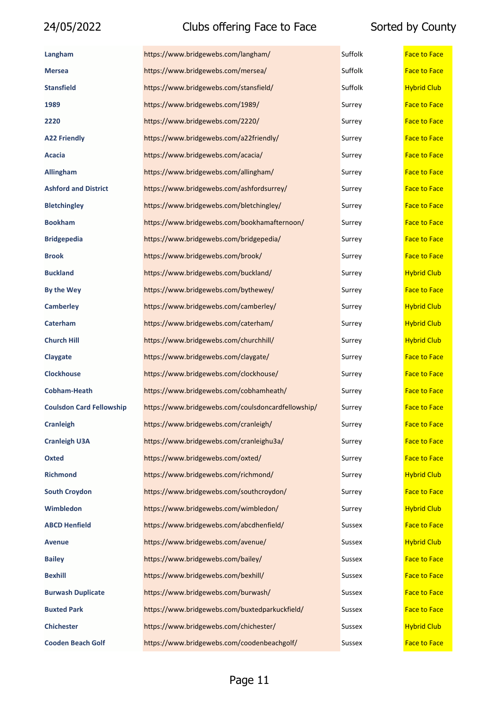| Langham                         | https://www.bridgewebs.com/langham/                | Suffolk | <b>Face to Face</b> |
|---------------------------------|----------------------------------------------------|---------|---------------------|
| <b>Mersea</b>                   | https://www.bridgewebs.com/mersea/                 | Suffolk | <b>Face to Face</b> |
| <b>Stansfield</b>               | https://www.bridgewebs.com/stansfield/             | Suffolk | <b>Hybrid Club</b>  |
| 1989                            | https://www.bridgewebs.com/1989/                   | Surrey  | <b>Face to Face</b> |
| 2220                            | https://www.bridgewebs.com/2220/                   | Surrey  | <b>Face to Face</b> |
| <b>A22 Friendly</b>             | https://www.bridgewebs.com/a22friendly/            | Surrey  | <b>Face to Face</b> |
| Acacia                          | https://www.bridgewebs.com/acacia/                 | Surrey  | <b>Face to Face</b> |
| <b>Allingham</b>                | https://www.bridgewebs.com/allingham/              | Surrey  | <b>Face to Face</b> |
| <b>Ashford and District</b>     | https://www.bridgewebs.com/ashfordsurrey/          | Surrey  | <b>Face to Face</b> |
| <b>Bletchingley</b>             | https://www.bridgewebs.com/bletchingley/           | Surrey  | <b>Face to Face</b> |
| <b>Bookham</b>                  | https://www.bridgewebs.com/bookhamafternoon/       | Surrey  | <b>Face to Face</b> |
| <b>Bridgepedia</b>              | https://www.bridgewebs.com/bridgepedia/            | Surrey  | <b>Face to Face</b> |
| <b>Brook</b>                    | https://www.bridgewebs.com/brook/                  | Surrey  | <b>Face to Face</b> |
| <b>Buckland</b>                 | https://www.bridgewebs.com/buckland/               | Surrey  | <b>Hybrid Club</b>  |
| <b>By the Wey</b>               | https://www.bridgewebs.com/bythewey/               | Surrey  | <b>Face to Face</b> |
| <b>Camberley</b>                | https://www.bridgewebs.com/camberley/              | Surrey  | <b>Hybrid Club</b>  |
| Caterham                        | https://www.bridgewebs.com/caterham/               | Surrey  | <b>Hybrid Club</b>  |
| <b>Church Hill</b>              | https://www.bridgewebs.com/churchhill/             | Surrey  | <b>Hybrid Club</b>  |
| Claygate                        | https://www.bridgewebs.com/claygate/               | Surrey  | <b>Face to Face</b> |
| <b>Clockhouse</b>               | https://www.bridgewebs.com/clockhouse/             | Surrey  | <b>Face to Face</b> |
| <b>Cobham-Heath</b>             | https://www.bridgewebs.com/cobhamheath/            | Surrey  | <b>Face to Face</b> |
| <b>Coulsdon Card Fellowship</b> | https://www.bridgewebs.com/coulsdoncardfellowship/ | Surrey  | <b>Face to Face</b> |
| <b>Cranleigh</b>                | https://www.bridgewebs.com/cranleigh/              | Surrey  | <b>Face to Face</b> |
| <b>Cranleigh U3A</b>            | https://www.bridgewebs.com/cranleighu3a/           | Surrey  | <b>Face to Face</b> |
| <b>Oxted</b>                    | https://www.bridgewebs.com/oxted/                  | Surrey  | <b>Face to Face</b> |
| <b>Richmond</b>                 | https://www.bridgewebs.com/richmond/               | Surrey  | <b>Hybrid Club</b>  |
| <b>South Croydon</b>            | https://www.bridgewebs.com/southcroydon/           | Surrey  | <b>Face to Face</b> |
| Wimbledon                       | https://www.bridgewebs.com/wimbledon/              | Surrey  | <b>Hybrid Club</b>  |
| <b>ABCD Henfield</b>            | https://www.bridgewebs.com/abcdhenfield/           | Sussex  | <b>Face to Face</b> |
| <b>Avenue</b>                   | https://www.bridgewebs.com/avenue/                 | Sussex  | <b>Hybrid Club</b>  |
| <b>Bailey</b>                   | https://www.bridgewebs.com/bailey/                 | Sussex  | <b>Face to Face</b> |
| <b>Bexhill</b>                  | https://www.bridgewebs.com/bexhill/                | Sussex  | <b>Face to Face</b> |
| <b>Burwash Duplicate</b>        | https://www.bridgewebs.com/burwash/                | Sussex  | <b>Face to Face</b> |
| <b>Buxted Park</b>              | https://www.bridgewebs.com/buxtedparkuckfield/     | Sussex  | <b>Face to Face</b> |
| <b>Chichester</b>               | https://www.bridgewebs.com/chichester/             | Sussex  | <b>Hybrid Club</b>  |
| <b>Cooden Beach Golf</b>        | https://www.bridgewebs.com/coodenbeachgolf/        | Sussex  | <b>Face to Face</b> |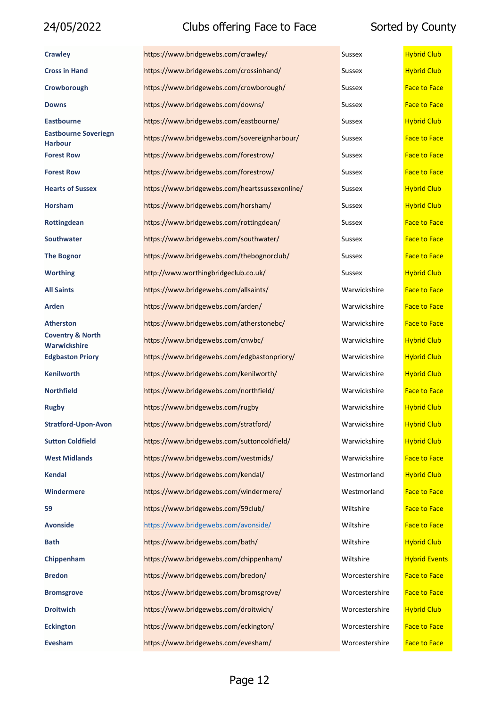| <b>Crawley</b>                                     | https://www.bridgewebs.com/crawley/            | Sussex         | <b>Hybrid Club</b>   |
|----------------------------------------------------|------------------------------------------------|----------------|----------------------|
| <b>Cross in Hand</b>                               | https://www.bridgewebs.com/crossinhand/        | Sussex         | <b>Hybrid Club</b>   |
| Crowborough                                        | https://www.bridgewebs.com/crowborough/        | Sussex         | <b>Face to Face</b>  |
| <b>Downs</b>                                       | https://www.bridgewebs.com/downs/              | Sussex         | <b>Face to Face</b>  |
| <b>Eastbourne</b>                                  | https://www.bridgewebs.com/eastbourne/         | Sussex         | <b>Hybrid Club</b>   |
| <b>Eastbourne Soveriegn</b><br><b>Harbour</b>      | https://www.bridgewebs.com/sovereignharbour/   | Sussex         | <b>Face to Face</b>  |
| <b>Forest Row</b>                                  | https://www.bridgewebs.com/forestrow/          | <b>Sussex</b>  | <b>Face to Face</b>  |
| <b>Forest Row</b>                                  | https://www.bridgewebs.com/forestrow/          | Sussex         | <b>Face to Face</b>  |
| <b>Hearts of Sussex</b>                            | https://www.bridgewebs.com/heartssussexonline/ | <b>Sussex</b>  | <b>Hybrid Club</b>   |
| <b>Horsham</b>                                     | https://www.bridgewebs.com/horsham/            | Sussex         | <b>Hybrid Club</b>   |
| Rottingdean                                        | https://www.bridgewebs.com/rottingdean/        | <b>Sussex</b>  | <b>Face to Face</b>  |
| <b>Southwater</b>                                  | https://www.bridgewebs.com/southwater/         | <b>Sussex</b>  | <b>Face to Face</b>  |
| <b>The Bognor</b>                                  | https://www.bridgewebs.com/thebognorclub/      | Sussex         | <b>Face to Face</b>  |
| <b>Worthing</b>                                    | http://www.worthingbridgeclub.co.uk/           | <b>Sussex</b>  | <b>Hybrid Club</b>   |
| <b>All Saints</b>                                  | https://www.bridgewebs.com/allsaints/          | Warwickshire   | <b>Face to Face</b>  |
| Arden                                              | https://www.bridgewebs.com/arden/              | Warwickshire   | <b>Face to Face</b>  |
| <b>Atherston</b>                                   | https://www.bridgewebs.com/atherstonebc/       | Warwickshire   | <b>Face to Face</b>  |
| <b>Coventry &amp; North</b><br><b>Warwickshire</b> | https://www.bridgewebs.com/cnwbc/              | Warwickshire   | <b>Hybrid Club</b>   |
| <b>Edgbaston Priory</b>                            | https://www.bridgewebs.com/edgbastonpriory/    | Warwickshire   | <b>Hybrid Club</b>   |
| <b>Kenilworth</b>                                  | https://www.bridgewebs.com/kenilworth/         | Warwickshire   | <b>Hybrid Club</b>   |
| <b>Northfield</b>                                  | https://www.bridgewebs.com/northfield/         | Warwickshire   | <b>Face to Face</b>  |
| <b>Rugby</b>                                       | https://www.bridgewebs.com/rugby               | Warwickshire   | <b>Hybrid Club</b>   |
| <b>Stratford-Upon-Avon</b>                         | https://www.bridgewebs.com/stratford/          | Warwickshire   | <b>Hybrid Club</b>   |
| <b>Sutton Coldfield</b>                            | https://www.bridgewebs.com/suttoncoldfield/    | Warwickshire   | <b>Hybrid Club</b>   |
| <b>West Midlands</b>                               | https://www.bridgewebs.com/westmids/           | Warwickshire   | <b>Face to Face</b>  |
| <b>Kendal</b>                                      | https://www.bridgewebs.com/kendal/             | Westmorland    | <b>Hybrid Club</b>   |
| Windermere                                         | https://www.bridgewebs.com/windermere/         | Westmorland    | <b>Face to Face</b>  |
| 59                                                 | https://www.bridgewebs.com/59club/             | Wiltshire      | <b>Face to Face</b>  |
| <b>Avonside</b>                                    | https://www.bridgewebs.com/avonside/           | Wiltshire      | <b>Face to Face</b>  |
| <b>Bath</b>                                        | https://www.bridgewebs.com/bath/               | Wiltshire      | <b>Hybrid Club</b>   |
| Chippenham                                         | https://www.bridgewebs.com/chippenham/         | Wiltshire      | <b>Hybrid Events</b> |
| <b>Bredon</b>                                      | https://www.bridgewebs.com/bredon/             | Worcestershire | <b>Face to Face</b>  |
| <b>Bromsgrove</b>                                  | https://www.bridgewebs.com/bromsgrove/         | Worcestershire | <b>Face to Face</b>  |
| <b>Droitwich</b>                                   | https://www.bridgewebs.com/droitwich/          | Worcestershire | <b>Hybrid Club</b>   |
| <b>Eckington</b>                                   | https://www.bridgewebs.com/eckington/          | Worcestershire | <b>Face to Face</b>  |
| Evesham                                            | https://www.bridgewebs.com/evesham/            | Worcestershire | <b>Face to Face</b>  |

| ıssex          | <b>Hybrid Club</b>  |
|----------------|---------------------|
| ıssex          | <b>Hybrid Club</b>  |
| ıssex          | <b>Face to Face</b> |
| ıssex          | <b>Face to Face</b> |
| issex          | <b>Hybrid Club</b>  |
| ıssex          | <b>Face to Face</b> |
| ıssex          | <b>Face to Face</b> |
| ıssex          | <b>Face to Face</b> |
| ıssex          | <b>Hybrid Club</b>  |
| ıssex          | <b>Hybrid Club</b>  |
| issex          | <b>Face to Face</b> |
| ıssex          | <b>Face to Face</b> |
| ıssex          | <b>Face to Face</b> |
| issex          | <b>Hybrid Club</b>  |
| 'arwickshire   | <b>Face to Face</b> |
| 'arwickshire   | <b>Face to Face</b> |
| 'arwickshire   | <b>Face to Face</b> |
| 'arwickshire   | <b>Hybrid Club</b>  |
| 'arwickshire   | <b>Hybrid Club</b>  |
| 'arwickshire   | <b>Hybrid Club</b>  |
| 'arwickshire   | <b>Face to Face</b> |
| 'arwickshire   | <b>Hybrid Club</b>  |
| 'arwickshire   | <b>Hybrid Club</b>  |
| 'arwickshire   | <b>Hybrid Club</b>  |
| 'arwickshire   | <b>Face to Face</b> |
| 'estmorland    | <b>Hybrid Club</b>  |
| 'estmorland    | <b>Face to Face</b> |
| 'iltshire      | <b>Face to Face</b> |
| 'iltshire      | <b>Face to Face</b> |
| 'iltshire      | <b>Hybrid Club</b>  |
| 'iltshire      | <b>Hybrid Event</b> |
| 'orcestershire | <b>Face to Face</b> |
| 'orcestershire | <b>Face to Face</b> |
| 'orcestershire | <b>Hybrid Club</b>  |
| 'orcestershire | <b>Face to Face</b> |
| 'orcestershire | <b>Face to Face</b> |